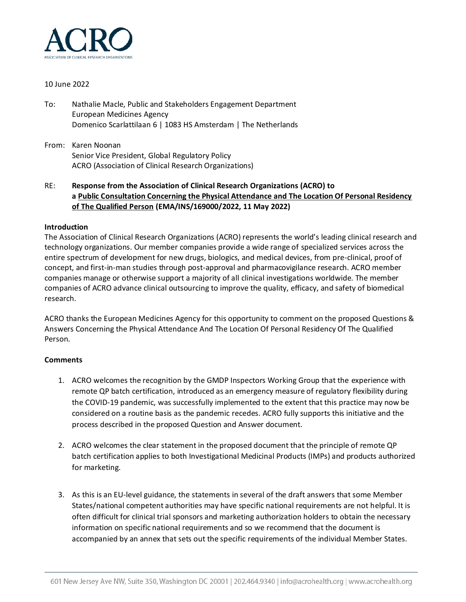

## 10 June 2022

- To: Nathalie Macle, Public and Stakeholders Engagement Department European Medicines Agency Domenico Scarlattilaan 6 | 1083 HS Amsterdam | The Netherlands
- From: Karen Noonan Senior Vice President, Global Regulatory Policy ACRO (Association of Clinical Research Organizations)
- RE: **Response from the Association of Clinical Research Organizations (ACRO) to a Public Consultation Concerning the Physical Attendance and The Location Of Personal Residency of The Qualified Person (EMA/INS/169000/2022, 11 May 2022)**

## **Introduction**

The Association of Clinical Research Organizations (ACRO) represents the world's leading clinical research and technology organizations. Our member companies provide a wide range of specialized services across the entire spectrum of development for new drugs, biologics, and medical devices, from pre-clinical, proof of concept, and first-in-man studies through post-approval and pharmacovigilance research. ACRO member companies manage or otherwise support a majority of all clinical investigations worldwide. The member companies of ACRO advance clinical outsourcing to improve the quality, efficacy, and safety of biomedical research.

ACRO thanks the European Medicines Agency for this opportunity to comment on the proposed Questions & Answers Concerning the Physical Attendance And The Location Of Personal Residency Of The Qualified Person.

## **Comments**

- 1. ACRO welcomes the recognition by the GMDP Inspectors Working Group that the experience with remote QP batch certification, introduced as an emergency measure of regulatory flexibility during the COVID-19 pandemic, was successfully implemented to the extent that this practice may now be considered on a routine basis as the pandemic recedes. ACRO fully supports this initiative and the process described in the proposed Question and Answer document.
- 2. ACRO welcomes the clear statement in the proposed document that the principle of remote QP batch certification applies to both Investigational Medicinal Products (IMPs) and products authorized for marketing.
- 3. As this is an EU-level guidance, the statements in several of the draft answers that some Member States/national competent authorities may have specific national requirements are not helpful. It is often difficult for clinical trial sponsors and marketing authorization holders to obtain the necessary information on specific national requirements and so we recommend that the document is accompanied by an annex that sets out the specific requirements of the individual Member States.